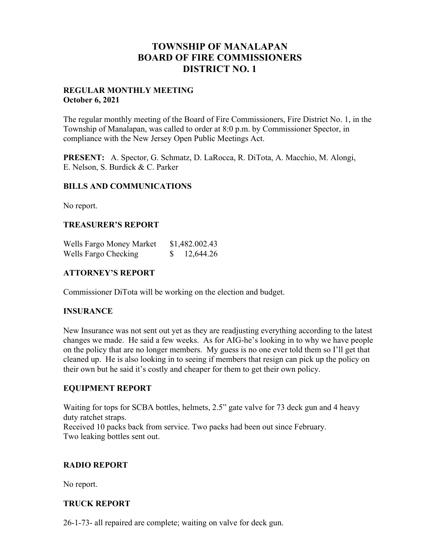# **TOWNSHIP OF MANALAPAN BOARD OF FIRE COMMISSIONERS DISTRICT NO. 1**

### **REGULAR MONTHLY MEETING October 6, 2021**

The regular monthly meeting of the Board of Fire Commissioners, Fire District No. 1, in the Township of Manalapan, was called to order at 8:0 p.m. by Commissioner Spector, in compliance with the New Jersey Open Public Meetings Act.

**PRESENT:** A. Spector, G. Schmatz, D. LaRocca, R. DiTota, A. Macchio, M. Alongi, E. Nelson, S. Burdick & C. Parker

## **BILLS AND COMMUNICATIONS**

No report.

### **TREASURER'S REPORT**

| Wells Fargo Money Market | \$1,482.002.43 |
|--------------------------|----------------|
| Wells Fargo Checking     | 12,644.26      |

## **ATTORNEY'S REPORT**

Commissioner DiTota will be working on the election and budget.

### **INSURANCE**

New Insurance was not sent out yet as they are readjusting everything according to the latest changes we made. He said a few weeks. As for AIG-he's looking in to why we have people on the policy that are no longer members. My guess is no one ever told them so I'll get that cleaned up. He is also looking in to seeing if members that resign can pick up the policy on their own but he said it's costly and cheaper for them to get their own policy.

### **EQUIPMENT REPORT**

Waiting for tops for SCBA bottles, helmets, 2.5" gate valve for 73 deck gun and 4 heavy duty ratchet straps. Received 10 packs back from service. Two packs had been out since February. Two leaking bottles sent out.

### **RADIO REPORT**

No report.

## **TRUCK REPORT**

26-1-73- all repaired are complete; waiting on valve for deck gun.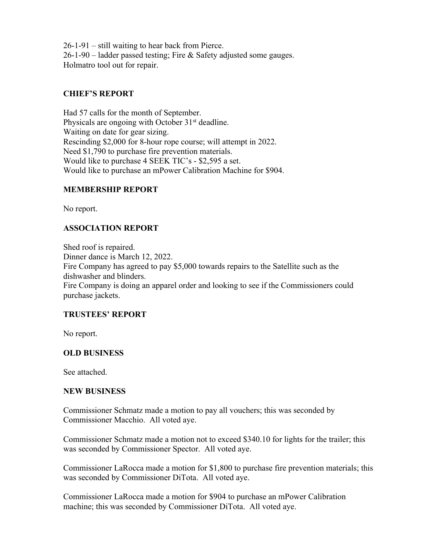26-1-91 – still waiting to hear back from Pierce. 26-1-90 – ladder passed testing; Fire & Safety adjusted some gauges. Holmatro tool out for repair.

## **CHIEF'S REPORT**

Had 57 calls for the month of September. Physicals are ongoing with October 31<sup>st</sup> deadline. Waiting on date for gear sizing. Rescinding \$2,000 for 8-hour rope course; will attempt in 2022. Need \$1,790 to purchase fire prevention materials. Would like to purchase 4 SEEK TIC's - \$2,595 a set. Would like to purchase an mPower Calibration Machine for \$904.

## **MEMBERSHIP REPORT**

No report.

## **ASSOCIATION REPORT**

Shed roof is repaired. Dinner dance is March 12, 2022. Fire Company has agreed to pay \$5,000 towards repairs to the Satellite such as the dishwasher and blinders. Fire Company is doing an apparel order and looking to see if the Commissioners could purchase jackets.

## **TRUSTEES' REPORT**

No report.

### **OLD BUSINESS**

See attached.

### **NEW BUSINESS**

Commissioner Schmatz made a motion to pay all vouchers; this was seconded by Commissioner Macchio. All voted aye.

Commissioner Schmatz made a motion not to exceed \$340.10 for lights for the trailer; this was seconded by Commissioner Spector. All voted aye.

Commissioner LaRocca made a motion for \$1,800 to purchase fire prevention materials; this was seconded by Commissioner DiTota. All voted aye.

Commissioner LaRocca made a motion for \$904 to purchase an mPower Calibration machine; this was seconded by Commissioner DiTota. All voted aye.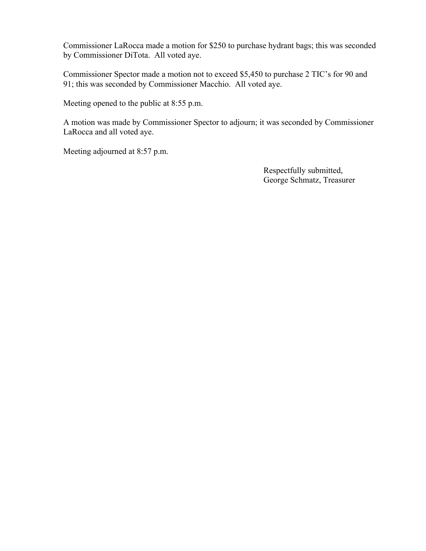Commissioner LaRocca made a motion for \$250 to purchase hydrant bags; this was seconded by Commissioner DiTota. All voted aye.

Commissioner Spector made a motion not to exceed \$5,450 to purchase 2 TIC's for 90 and 91; this was seconded by Commissioner Macchio. All voted aye.

Meeting opened to the public at 8:55 p.m.

A motion was made by Commissioner Spector to adjourn; it was seconded by Commissioner LaRocca and all voted aye.

Meeting adjourned at 8:57 p.m.

 Respectfully submitted, George Schmatz, Treasurer